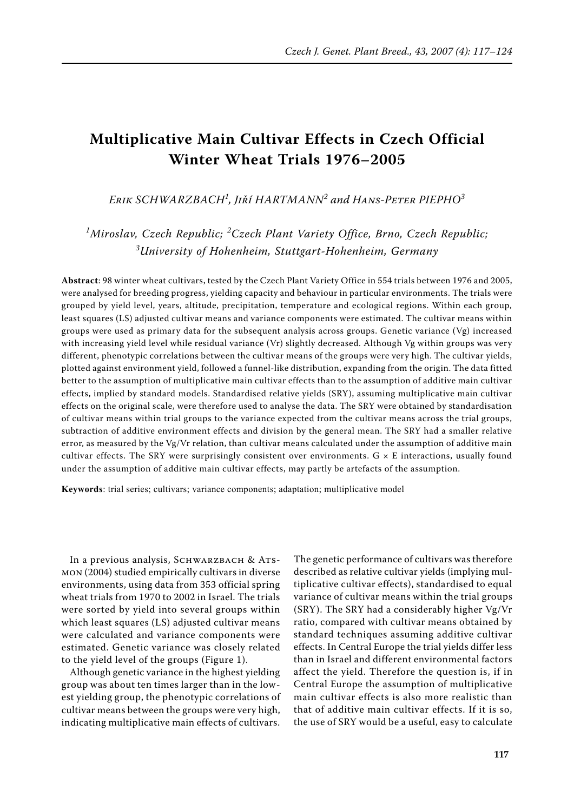# **Multiplicative Main Cultivar Effects in Czech Official Winter Wheat Trials 1976–2005**

## *Erik Schwarzbach<sup>1</sup> , Jiří Hartmann<sup>2</sup> and Hans-Peter Piepho<sup>3</sup>*

# *1 Miroslav, Czech Republic; <sup>2</sup> Czech Plant Variety Office, Brno, Czech Republic; 3 University of Hohenheim, Stuttgart-Hohenheim, Germany*

**Abstract**: 98 winter wheat cultivars, tested by the Czech Plant Variety Office in 554 trials between 1976 and 2005, were analysed for breeding progress, yielding capacity and behaviour in particular environments. The trials were grouped by yield level, years, altitude, precipitation, temperature and ecological regions. Within each group, least squares (LS) adjusted cultivar means and variance components were estimated. The cultivar means within groups were used as primary data for the subsequent analysis across groups. Genetic variance (Vg) increased with increasing yield level while residual variance (Vr) slightly decreased. Although Vg within groups was very different, phenotypic correlations between the cultivar means of the groups were very high. The cultivar yields, plotted against environment yield, followed a funnel-like distribution, expanding from the origin. The data fitted better to the assumption of multiplicative main cultivar effects than to the assumption of additive main cultivar effects, implied by standard models. Standardised relative yields (SRY), assuming multiplicative main cultivar effects on the original scale, were therefore used to analyse the data. The SRY were obtained by standardisation of cultivar means within trial groups to the variance expected from the cultivar means across the trial groups, subtraction of additive environment effects and division by the general mean. The SRY had a smaller relative error, as measured by the Vg/Vr relation, than cultivar means calculated under the assumption of additive main cultivar effects. The SRY were surprisingly consistent over environments.  $G \times E$  interactions, usually found under the assumption of additive main cultivar effects, may partly be artefacts of the assumption.

**Keywords**: trial series; cultivars; variance components; adaptation; multiplicative model

In a previous analysis, SCHWARZBACH & ATSmon (2004) studied empirically cultivars in diverse environments, using data from 353 official spring wheat trials from 1970 to 2002 in Israel. The trials were sorted by yield into several groups within which least squares (LS) adjusted cultivar means were calculated and variance components were estimated. Genetic variance was closely related to the yield level of the groups (Figure 1).

Although genetic variance in the highest yielding group was about ten times larger than in the lowest yielding group, the phenotypic correlations of cultivar means between the groups were very high, indicating multiplicative main effects of cultivars.

The genetic performance of cultivars was therefore described as relative cultivar yields (implying multiplicative cultivar effects), standardised to equal variance of cultivar means within the trial groups (SRY). The SRY had a considerably higher Vg/Vr ratio, compared with cultivar means obtained by standard techniques assuming additive cultivar effects. In Central Europe the trial yields differ less than in Israel and different environmental factors affect the yield. Therefore the question is, if in Central Europe the assumption of multiplicative main cultivar effects is also more realistic than that of additive main cultivar effects. If it is so, the use of SRY would be a useful, easy to calculate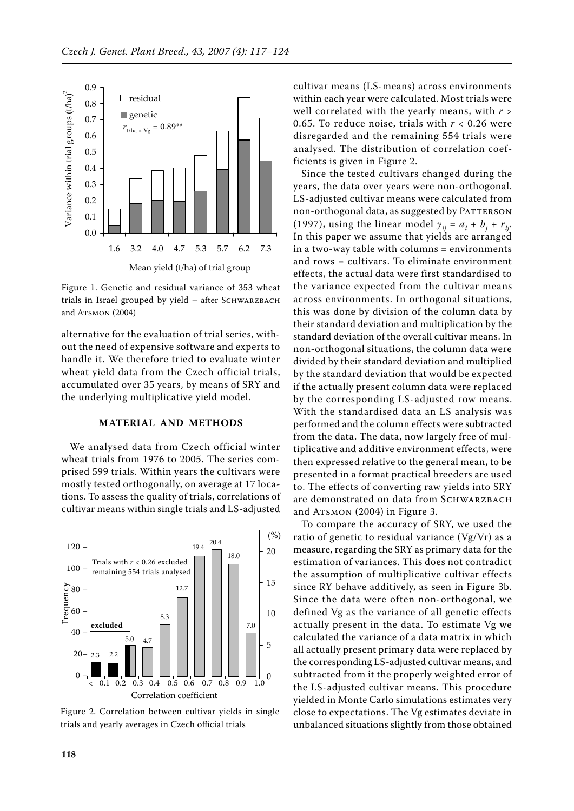

Figure 1. Genetic and residual variance of 353 wheat trials in Israel grouped by yield - after SCHWARZBACH and ATSMON (2004)

alternative for the evaluation of trial series, without the need of expensive software and experts to handle it. We therefore tried to evaluate winter wheat yield data from the Czech official trials, accumulated over 35 years, by means of SRY and the underlying multiplicative yield model.

### **Material and methods**

We analysed data from Czech official winter wheat trials from 1976 to 2005. The series comprised 599 trials. Within years the cultivars were mostly tested orthogonally, on average at 17 locations. To assess the quality of trials, correlations of cultivar means within single trials and LS-adjusted



Figure 2. Correlation between cultivar yields in single trials and yearly averages in Czech official trials

cultivar means (LS-means) across environments within each year were calculated. Most trials were well correlated with the yearly means, with *r* > 0.65. To reduce noise, trials with *r* < 0.26 were disregarded and the remaining 554 trials were analysed. The distribution of correlation coefficients is given in Figure 2.

Since the tested cultivars changed during the years, the data over years were non-orthogonal. LS-adjusted cultivar means were calculated from non-orthogonal data, as suggested by PATTERSON (1997), using the linear model  $y_{ij} = a_i + b_j + r_{ij}$ . In this paper we assume that yields are arranged in a two-way table with columns = environments and rows = cultivars. To eliminate environment effects, the actual data were first standardised to the variance expected from the cultivar means across environments. In orthogonal situations, this was done by division of the column data by their standard deviation and multiplication by the standard deviation of the overall cultivar means. In non-orthogonal situations, the column data were divided by their standard deviation and multiplied by the standard deviation that would be expected if the actually present column data were replaced by the corresponding LS-adjusted row means. With the standardised data an LS analysis was performed and the column effects were subtracted from the data. The data, now largely free of multiplicative and additive environment effects, were then expressed relative to the general mean, to be presented in a format practical breeders are used to. The effects of converting raw yields into SRY are demonstrated on data from SCHWARZBACH and ATSMON (2004) in Figure 3.

To compare the accuracy of SRY, we used the ratio of genetic to residual variance (Vg/Vr) as a measure, regarding the SRY as primary data for the estimation of variances. This does not contradict the assumption of multiplicative cultivar effects since RY behave additively, as seen in Figure 3b. Since the data were often non-orthogonal, we defined Vg as the variance of all genetic effects actually present in the data. To estimate Vg we calculated the variance of a data matrix in which all actually present primary data were replaced by the corresponding LS-adjusted cultivar means, and subtracted from it the properly weighted error of the LS-adjusted cultivar means. This procedure yielded in Monte Carlo simulations estimates very close to expectations. The Vg estimates deviate in unbalanced situations slightly from those obtained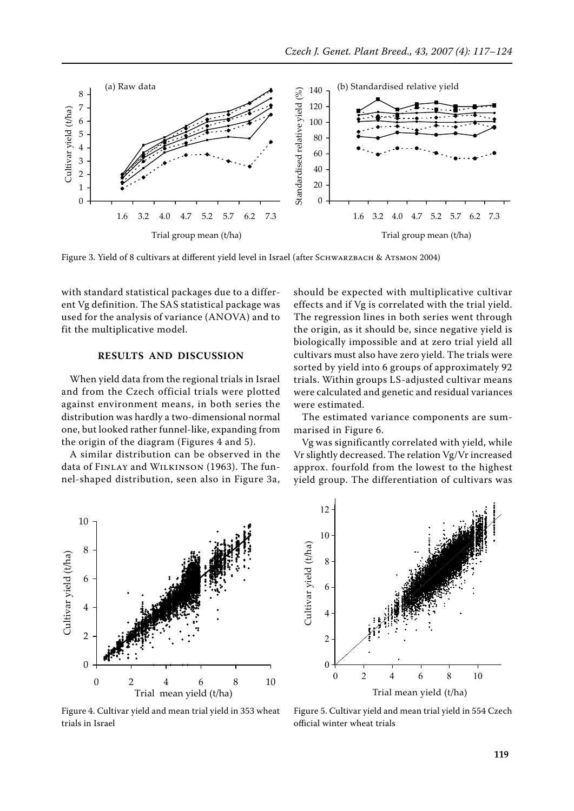

Figure 3. Yield of 8 cultivars at different yield level in Israel (after SСН WАRZBАСН & ATSMON 2004)

with standard statistical packages due to a different Vg definition. The SAS statistical package was used for the analysis of variance (ANOVA) and to fit the multiplicative model.

#### **Results and discussion**

When yield data from the regional trials in Israel and from the Czech official trials were plotted against environment means, in both series the distribution was hardly a two-dimensional normal one, but looked rather funnel-like, expanding from the origin of the diagram (Figures 4 and 5).

A similar distribution can be observed in the data of FINLAY and WILKINSON (1963). The funnel-shaped distribution, seen also in Figure 3a,

should be expected with multiplicative cultivar effects and if Vg is correlated with the trial yield. The regression lines in both series went through the origin, as it should be, since negative yield is biologically impossible and at zero trial yield all cultivars must also have zero yield. The trials were sorted by yield into 6 groups of approximately 92 trials. Within groups LS-adjusted cultivar means were calculated and genetic and residual variances were estimated.

The estimated variance components are summarised in Figure 6.

Vg was significantly correlated with yield, while Vr slightly decreased. The relation Vg/Vr increased approx. fourfold from the lowest to the highest yield group. The differentiation of cultivars was



Figure 4. Cultivar yield and mean trial yield in 353 wheat trials in Israel



Figure 5. Cultivar yield and mean trial yield in 554 Czech official winter wheat trials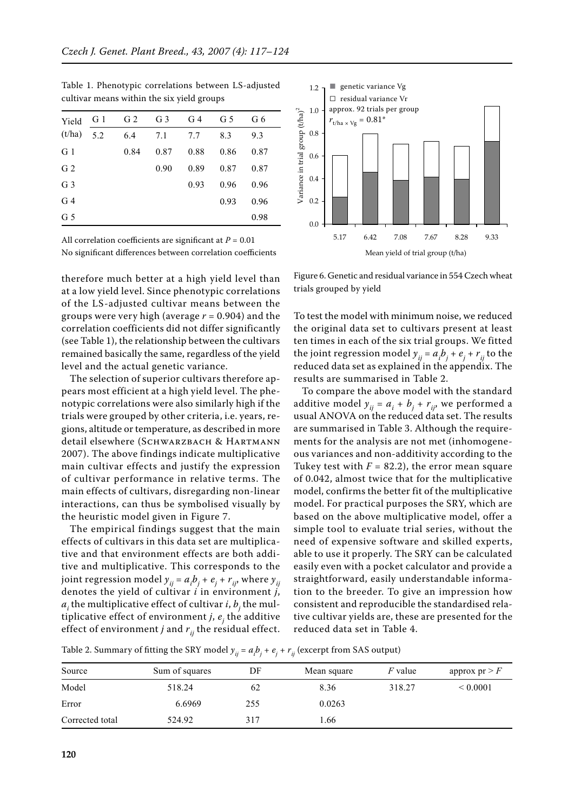| Yield          | G 1 | G <sub>2</sub> | G <sub>3</sub> | G <sub>4</sub> | G <sub>5</sub> | G 6  |
|----------------|-----|----------------|----------------|----------------|----------------|------|
| (t/ha)         | 52  | 6.4            | 7.1            | 7.7            | 8.3            | 9.3  |
| G <sub>1</sub> |     | 0.84           | 0.87           | 0.88           | 0.86           | 0.87 |
| G <sub>2</sub> |     |                | 0.90           | 0.89           | 0.87           | 0.87 |
| G <sub>3</sub> |     |                |                | 0.93           | 0.96           | 0.96 |
| G <sub>4</sub> |     |                |                |                | 0.93           | 0.96 |
| G <sub>5</sub> |     |                |                |                |                | 0.98 |

Table 1. Phenotypic correlations between LS-adjusted cultivar means within the six yield groups

All correlation coefficients are significant at  $P = 0.01$ No significant differences between correlation coefficients

therefore much better at a high yield level than at a low yield level. Since phenotypic correlations of the LS-adjusted cultivar means between the groups were very high (average *r* = 0.904) and the correlation coefficients did not differ significantly (see Table 1), the relationship between the cultivars remained basically the same, regardless of the yield level and the actual genetic variance.

The selection of superior cultivars therefore appears most efficient at a high yield level. The phenotypic correlations were also similarly high if the trials were grouped by other criteria, i.e. years, regions, altitude or temperature, as described in more detail elsewhere (Schwarzbach & Hartmann 2007). The above findings indicate multiplicative main cultivar effects and justify the expression of cultivar performance in relative terms. The main effects of cultivars, disregarding non-linear interactions, can thus be symbolised visually by the heuristic model given in Figure 7.

The empirical findings suggest that the main effects of cultivars in this data set are multiplicative and that environment effects are both additive and multiplicative. This corresponds to the joint regression model  $y_{ij} = a_i b_j + e_j + r_{ij}$ , where  $y_{ij}$ denotes the yield of cultivar *i* in environment *j*,  $a_i$  the multiplicative effect of cultivar *i*,  $b_j$  the multiplicative effect of environment *j*,  $e_j$  the additive effect of environment *j* and  $r_{ij}$  the residual effect.



Figure 6. Genetic and residual variance in 554 Czech wheat trials grouped by yield

To test the model with minimum noise, we reduced the original data set to cultivars present at least ten times in each of the six trial groups. We fitted the joint regression model  $y_{ij} = a_i b_j + e_j + r_{ij}$  to the reduced data set as explained in the appendix. The results are summarised in Table 2.

To compare the above model with the standard additive model  $y_{ij} = a_i + b_j + r_{ij}$ , we performed a usual ANOVA on the reduced data set. The results are summarised in Table 3. Although the requirements for the analysis are not met (inhomogeneous variances and non-additivity according to the Tukey test with  $F = 82.2$ ), the error mean square of 0.042, almost twice that for the multiplicative model, confirms the better fit of the multiplicative model. For practical purposes the SRY, which are based on the above multiplicative model, offer a simple tool to evaluate trial series, without the need of expensive software and skilled experts, able to use it properly. The SRY can be calculated easily even with a pocket calculator and provide a straightforward, easily understandable information to the breeder. To give an impression how consistent and reproducible the standardised relative cultivar yields are, these are presented for the reduced data set in Table 4.

Table 2. Summary of fitting the SRY model  $y_{ij}$  =  $a_ib_j$  +  $e_j$  +  $r_{ij}$  (excerpt from SAS output)

| Source          | Sum of squares | DF  | Mean square | <i>F</i> value | approx $pr > F$ |
|-----------------|----------------|-----|-------------|----------------|-----------------|
| Model           | 518.24         | 62  | 8.36        | 318.27         | ${}< 0.0001$    |
| Error           | 6.6969         | 255 | 0.0263      |                |                 |
| Corrected total | 524.92         | 317 | 1.66        |                |                 |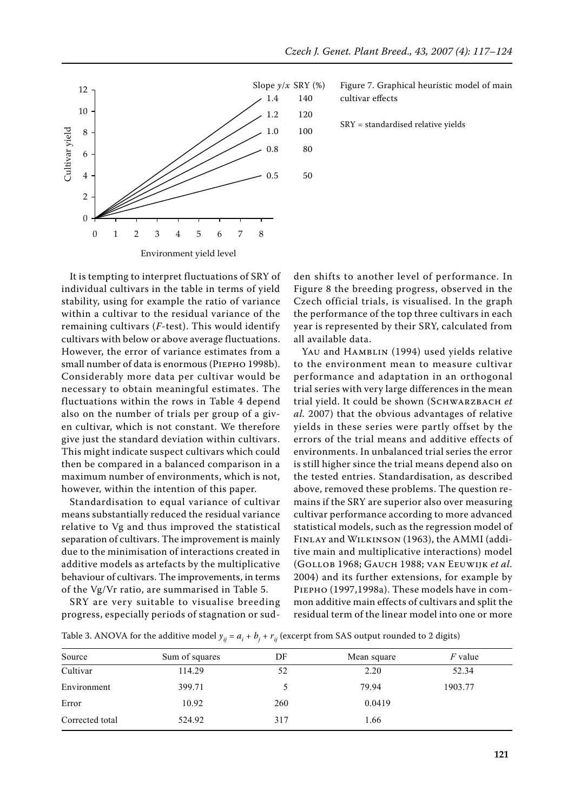

Figure 7. Graphical heuristic model of main cultivar effects

SRY = standardised relative yields

It is tempting to interpret fluctuations of SRY of individual cultivars in the table in terms of yield stability, using for example the ratio of variance within a cultivar to the residual variance of the remaining cultivars (*F*-test). This would identify cultivars with below or above average fluctuations. However, the error of variance estimates from a small number of data is enormous (Piepho 1998b). Considerably more data per cultivar would be necessary to obtain meaningful estimates. The fluctuations within the rows in Table 4 depend also on the number of trials per group of a given cultivar, which is not constant. We therefore give just the standard deviation within cultivars. This might indicate suspect cultivars which could then be compared in a balanced comparison in a maximum number of environments, which is not, however, within the intention of this paper.

Standardisation to equal variance of cultivar means substantially reduced the residual variance relative to Vg and thus improved the statistical separation of cultivars. The improvement is mainly due to the minimisation of interactions created in additive models as artefacts by the multiplicative behaviour of cultivars. The improvements, in terms of the Vg/Vr ratio, are summarised in Table 5.

SRY are very suitable to visualise breeding progress, especially periods of stagnation or sud-

den shifts to another level of performance. In Figure 8 the breeding progress, observed in the Czech official trials, is visualised. In the graph the performance of the top three cultivars in each year is represented by their SRY, calculated from all available data.

YAU and HAMBLIN (1994) used yields relative to the environment mean to measure cultivar performance and adaptation in an orthogonal trial series with very large differences in the mean trial yield. It could be shown (Schwarzbach *et al.* 2007) that the obvious advantages of relative yields in these series were partly offset by the errors of the trial means and additive effects of environments. In unbalanced trial series the error is still higher since the trial means depend also on the tested entries. Standardisation, as described above, removed these problems. The question remains if the SRY are superior also over measuring cultivar performance according to more advanced statistical models, such as the regression model of Finlay and Wilkinson (1963), the AMMI (additive main and multiplicative interactions) model (Gollob 1968; Gauch 1988; van Eeuwijk *et al.* 2004) and its further extensions, for example by Piepho (1997,1998a). These models have in common additive main effects of cultivars and split the residual term of the linear model into one or more

Table 3. ANOVA for the additive model  $y_{ij}$  =  $a_i$  +  $b_j$  +  $r_{ij}$  (excerpt from SAS output rounded to 2 digits)

| Source          | Sum of squares | DF  | Mean square | $F$ value |  |
|-----------------|----------------|-----|-------------|-----------|--|
|                 |                |     |             |           |  |
| Cultivar        | 114.29         | 52  | 2.20        | 52.34     |  |
| Environment     | 399.71         |     | 79.94       | 1903.77   |  |
| Error           | 10.92          | 260 | 0.0419      |           |  |
| Corrected total | 524.92         | 317 | 1.66        |           |  |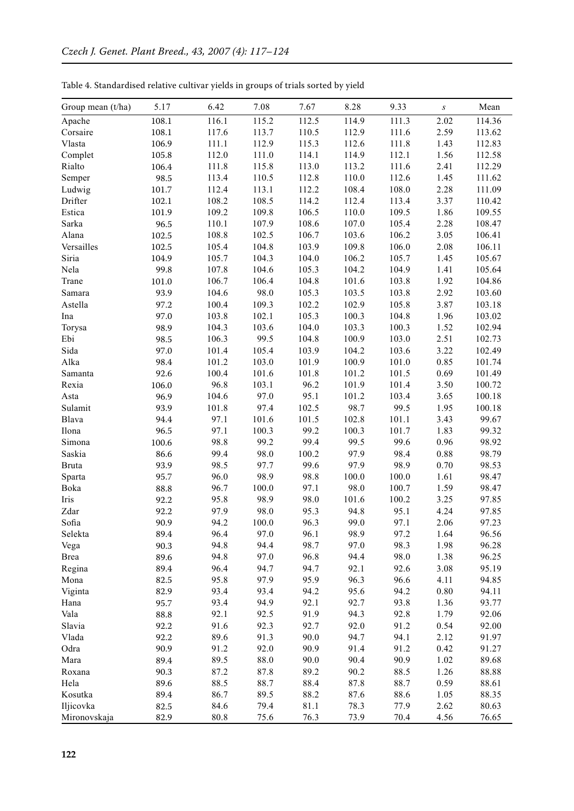| Group mean (t/ha) | 5.17  | 6.42  | 7.08  | 7.67  | 8.28  | 9.33  | $\boldsymbol{S}$ | Mean   |
|-------------------|-------|-------|-------|-------|-------|-------|------------------|--------|
| Apache            | 108.1 | 116.1 | 115.2 | 112.5 | 114.9 | 111.3 | 2.02             | 114.36 |
| Corsaire          | 108.1 | 117.6 | 113.7 | 110.5 | 112.9 | 111.6 | 2.59             | 113.62 |
| Vlasta            | 106.9 | 111.1 | 112.9 | 115.3 | 112.6 | 111.8 | 1.43             | 112.83 |
| Complet           | 105.8 | 112.0 | 111.0 | 114.1 | 114.9 | 112.1 | 1.56             | 112.58 |
| Rialto            | 106.4 | 111.8 | 115.8 | 113.0 | 113.2 | 111.6 | 2.41             | 112.29 |
| Semper            | 98.5  | 113.4 | 110.5 | 112.8 | 110.0 | 112.6 | 1.45             | 111.62 |
| Ludwig            | 101.7 | 112.4 | 113.1 | 112.2 | 108.4 | 108.0 | 2.28             | 111.09 |
| Drifter           | 102.1 | 108.2 | 108.5 | 114.2 | 112.4 | 113.4 | 3.37             | 110.42 |
| Estica            | 101.9 | 109.2 | 109.8 | 106.5 | 110.0 | 109.5 | 1.86             | 109.55 |
| Sarka             | 96.5  | 110.1 | 107.9 | 108.6 | 107.0 | 105.4 | 2.28             | 108.47 |
| Alana             | 102.5 | 108.8 | 102.5 | 106.7 | 103.6 | 106.2 | 3.05             | 106.41 |
| Versailles        | 102.5 | 105.4 | 104.8 | 103.9 | 109.8 | 106.0 | 2.08             | 106.11 |
| Siria             | 104.9 | 105.7 | 104.3 | 104.0 | 106.2 | 105.7 | 1.45             | 105.67 |
| Nela              | 99.8  | 107.8 | 104.6 | 105.3 | 104.2 | 104.9 | 1.41             | 105.64 |
| Trane             | 101.0 | 106.7 | 106.4 | 104.8 | 101.6 | 103.8 | 1.92             | 104.86 |
| Samara            | 93.9  | 104.6 | 98.0  | 105.3 | 103.5 | 103.8 | 2.92             | 103.60 |
| Astella           | 97.2  | 100.4 | 109.3 | 102.2 | 102.9 | 105.8 | 3.87             | 103.18 |
| Ina               | 97.0  | 103.8 | 102.1 | 105.3 | 100.3 | 104.8 | 1.96             | 103.02 |
| Torysa            | 98.9  | 104.3 | 103.6 | 104.0 | 103.3 | 100.3 | 1.52             | 102.94 |
| Ebi               | 98.5  | 106.3 | 99.5  | 104.8 | 100.9 | 103.0 | 2.51             | 102.73 |
| Sida              | 97.0  | 101.4 | 105.4 | 103.9 | 104.2 | 103.6 | 3.22             | 102.49 |
| Alka              | 98.4  | 101.2 | 103.0 | 101.9 | 100.9 | 101.0 | 0.85             | 101.74 |
| Samanta           | 92.6  | 100.4 | 101.6 | 101.8 | 101.2 | 101.5 | 0.69             | 101.49 |
| Rexia             | 106.0 | 96.8  | 103.1 | 96.2  | 101.9 | 101.4 | 3.50             | 100.72 |
| Asta              | 96.9  | 104.6 | 97.0  | 95.1  | 101.2 | 103.4 | 3.65             | 100.18 |
| Sulamit           | 93.9  | 101.8 | 97.4  | 102.5 | 98.7  | 99.5  | 1.95             | 100.18 |
| Blava             | 94.4  | 97.1  | 101.6 | 101.5 | 102.8 | 101.1 | 3.43             | 99.67  |
| Ilona             | 96.5  | 97.1  | 100.3 | 99.2  | 100.3 | 101.7 | 1.83             | 99.32  |
| Simona            | 100.6 | 98.8  | 99.2  | 99.4  | 99.5  | 99.6  | 0.96             | 98.92  |
| Saskia            | 86.6  | 99.4  | 98.0  | 100.2 | 97.9  | 98.4  | 0.88             | 98.79  |
| <b>Bruta</b>      | 93.9  | 98.5  | 97.7  | 99.6  | 97.9  | 98.9  | 0.70             | 98.53  |
| Sparta            | 95.7  | 96.0  | 98.9  | 98.8  | 100.0 | 100.0 | 1.61             | 98.47  |
| Boka              | 88.8  | 96.7  | 100.0 | 97.1  | 98.0  | 100.7 | 1.59             | 98.47  |
| Iris              | 92.2  | 95.8  | 98.9  | 98.0  | 101.6 | 100.2 | 3.25             | 97.85  |
| Zdar              | 92.2  | 97.9  | 98.0  | 95.3  | 94.8  | 95.1  | 4.24             | 97.85  |
| Sofia             | 90.9  | 94.2  | 100.0 | 96.3  | 99.0  | 97.1  | 2.06             | 97.23  |
| Selekta           | 89.4  | 96.4  | 97.0  | 96.1  | 98.9  | 97.2  | 1.64             | 96.56  |
| Vega              | 90.3  | 94.8  | 94.4  | 98.7  | 97.0  | 98.3  | 1.98             | 96.28  |
| <b>Brea</b>       | 89.6  | 94.8  | 97.0  | 96.8  | 94.4  | 98.0  | 1.38             | 96.25  |
| Regina            | 89.4  | 96.4  | 94.7  | 94.7  | 92.1  | 92.6  | 3.08             | 95.19  |
| Mona              | 82.5  | 95.8  | 97.9  | 95.9  | 96.3  | 96.6  | 4.11             | 94.85  |
| Viginta           | 82.9  | 93.4  | 93.4  | 94.2  | 95.6  | 94.2  | $0.80\,$         | 94.11  |
| Hana              | 95.7  | 93.4  | 94.9  | 92.1  | 92.7  | 93.8  | 1.36             | 93.77  |
| Vala              | 88.8  | 92.1  | 92.5  | 91.9  | 94.3  | 92.8  | 1.79             | 92.06  |
| Slavia            | 92.2  | 91.6  | 92.3  | 92.7  | 92.0  | 91.2  | 0.54             | 92.00  |
| Vlada             | 92.2  | 89.6  | 91.3  | 90.0  | 94.7  | 94.1  | 2.12             | 91.97  |
| Odra              | 90.9  | 91.2  | 92.0  | 90.9  | 91.4  | 91.2  | 0.42             | 91.27  |
| Mara              | 89.4  | 89.5  | 88.0  | 90.0  | 90.4  | 90.9  | 1.02             | 89.68  |
| Roxana            | 90.3  | 87.2  | 87.8  | 89.2  | 90.2  | 88.5  | 1.26             | 88.88  |
| Hela              | 89.6  | 88.5  | 88.7  | 88.4  | 87.8  | 88.7  | 0.59             | 88.61  |
| Kosutka           | 89.4  | 86.7  | 89.5  | 88.2  | 87.6  | 88.6  | 1.05             | 88.35  |
| Iljicovka         | 82.5  | 84.6  | 79.4  | 81.1  | 78.3  | 77.9  | 2.62             | 80.63  |
| Mironovskaja      | 82.9  | 80.8  | 75.6  | 76.3  | 73.9  | 70.4  | 4.56             | 76.65  |

Table 4. Standardised relative cultivar yields in groups of trials sorted by yield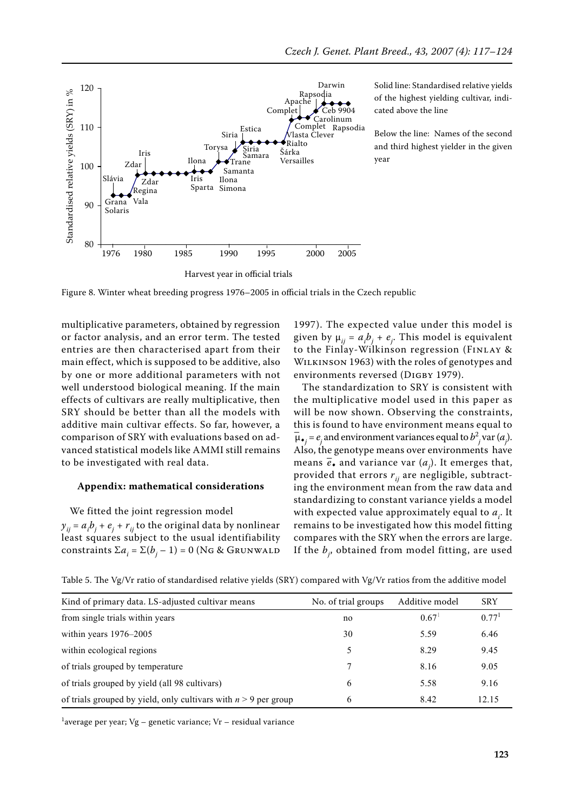

Solid line: Standardised relative yields of the highest yielding cultivar, indicated above the line

Below the line: Names of the second and third highest yielder in the given year

Figure 8. Winter wheat breeding progress 1976–2005 in official trials in the Czech republic

multiplicative parameters, obtained by regression or factor analysis, and an error term. The tested entries are then characterised apart from their main effect, which is supposed to be additive, also by one or more additional parameters with not well understood biological meaning. If the main effects of cultivars are really multiplicative, then SRY should be better than all the models with additive main cultivar effects. So far, however, a comparison of SRY with evaluations based on advanced statistical models like AMMI still remains to be investigated with real data.

#### **Appendix: mathematical considerations**

We fitted the joint regression model  $y_{ij} = a_i b_j + e_j + r_{ij}$  to the original data by nonlinear least squares subject to the usual identifiability constraints  $\Sigma a_i = \Sigma (b_j - 1) = 0$  (Ng & Grunwald

1997). The expected value under this model is given by  $\mu_{ij} = a_i b_j + e_j$ . This model is equivalent to the Finlay-Wilkinson regression (FINLAY & Wilkinson 1963) with the roles of genotypes and environments reversed (DIGBY 1979).

The standardization to SRY is consistent with the multiplicative model used in this paper as will be now shown. Observing the constraints, this is found to have environment means equal to  $\overline{\mu}_{\bullet j} = e_j$  and environment variances equal to  $b_j^2$  var  $(a_j)$ . Also, the genotype means over environments have means  $\overline{e}_\bullet$  and variance var  $(a_j)$ . It emerges that, provided that errors  $r_{ij}$  are negligible, subtracting the environment mean from the raw data and standardizing to constant variance yields a model with expected value approximately equal to  $a_i$ . It remains to be investigated how this model fitting compares with the SRY when the errors are large. If the  $b_{j'}^{\phantom{\dag}}$  obtained from model fitting, are used

| Kind of primary data. LS-adjusted cultivar means                  | No. of trial groups | Additive model    | <b>SRY</b>        |
|-------------------------------------------------------------------|---------------------|-------------------|-------------------|
| from single trials within years                                   | no                  | 0.67 <sup>1</sup> | 0.77 <sup>1</sup> |
| within years $1976 - 2005$                                        | 30                  | 5.59              | 6.46              |
| within ecological regions                                         | 5                   | 8.29              | 9.45              |
| of trials grouped by temperature                                  |                     | 8.16              | 9.05              |
| of trials grouped by yield (all 98 cultivars)                     | 6                   | 5.58              | 9.16              |
| of trials grouped by yield, only cultivars with $n > 9$ per group | 6                   | 8.42              | 12.15             |

Table 5. The Vg/Vr ratio of standardised relative yields (SRY) compared with Vg/Vr ratios from the additive model

 $1$ average per year; Vg – genetic variance; Vr – residual variance